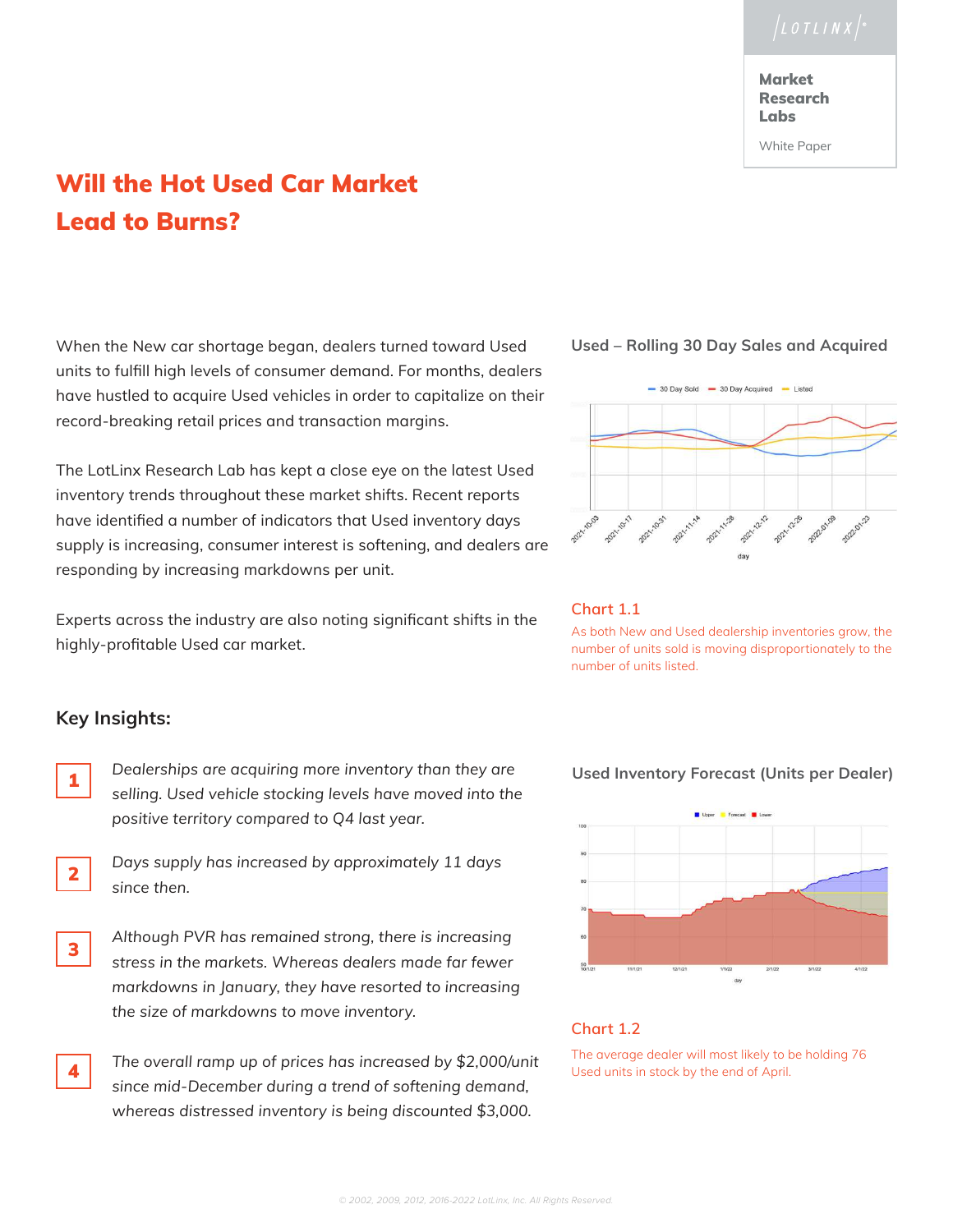**Market** Research Labs

White Paper

# Will the Hot Used Car Market Lead to Burns?

When the New car shortage began, dealers turned toward Used units to fulfill high levels of consumer demand. For months, dealers have hustled to acquire Used vehicles in order to capitalize on their record-breaking retail prices and transaction margins.

The LotLinx Research Lab has kept a close eye on the latest Used inventory trends throughout these market shifts. Recent reports have identified a number of indicators that Used inventory days supply is increasing, consumer interest is softening, and dealers are responding by increasing markdowns per unit.

Experts across the industry are also noting significant shifts in the highly-profitable Used car market.

# **Key Insights:**

- **1** Dealerships are acquiring more inventory than they are *selling. Used vehicle stocking levels have moved into the positive territory compared to Q4 last year.*
- *Days supply has increased by approximately 11 days since then.* 2
- 3

 *Although PVR has remained strong, there is increasing stress in the markets. Whereas dealers made far fewer markdowns in January, they have resorted to increasing the size of markdowns to move inventory.*

4

 *The overall ramp up of prices has increased by \$2,000/unit since mid-December during a trend of softening demand, whereas distressed inventory is being discounted \$3,000.*

# **Used – Rolling 30 Day Sales and Acquired**



## **Chart 1.1**

As both New and Used dealership inventories grow, the number of units sold is moving disproportionately to the number of units listed.

# Upper Corecast D Lowe

# **Chart 1.2**

The average dealer will most likely to be holding 76 Used units in stock by the end of April.

## **Used Inventory Forecast (Units per Dealer)**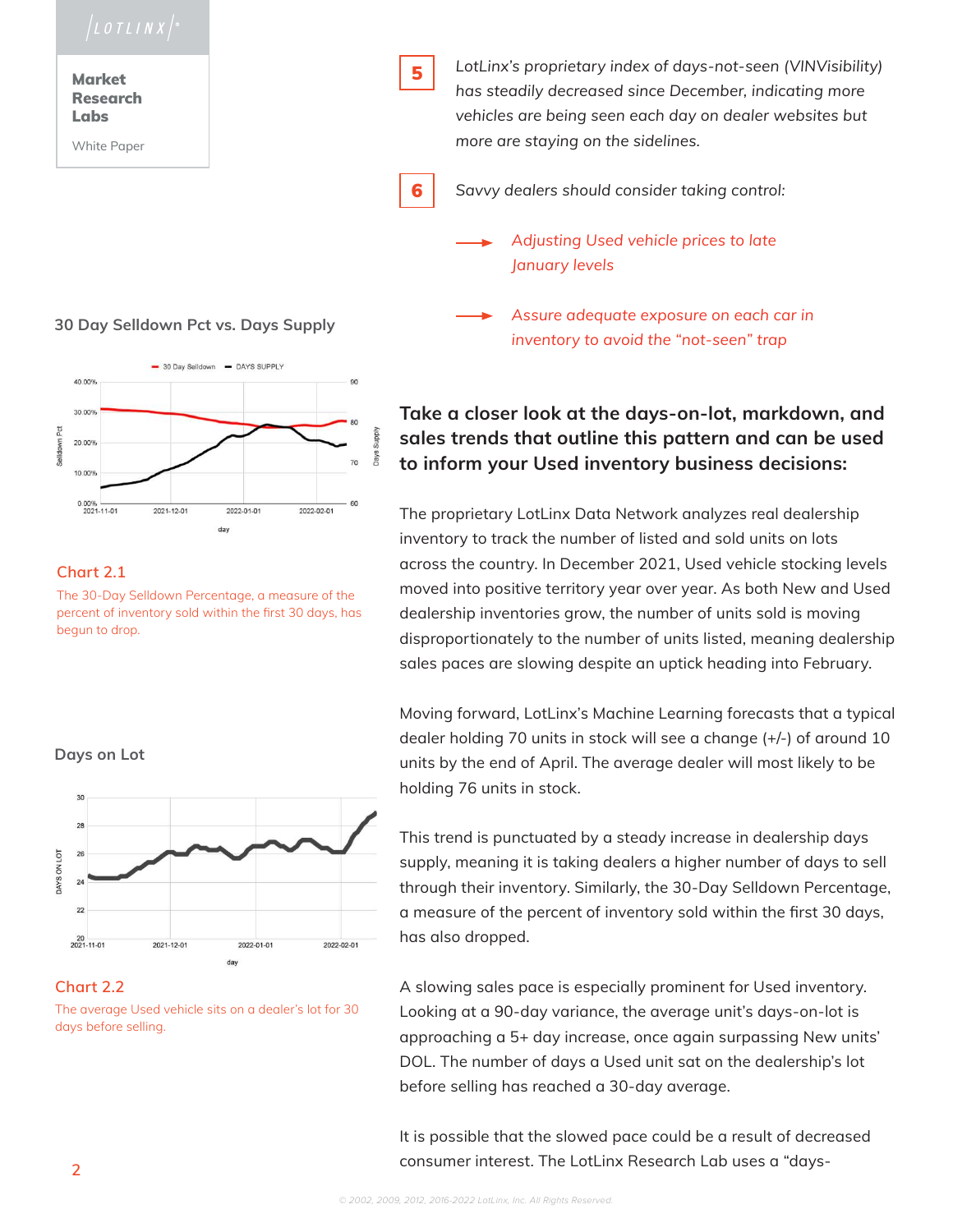**Market** Research Labs

White Paper

# **30 Day Selldown Pct vs. Days Supply**



# **Chart 2.1**

The 30-Day Selldown Percentage, a measure of the percent of inventory sold within the first 30 days, has begun to drop.





The average Used vehicle sits on a dealer's lot for 30 days before selling.



 *LotLinx's proprietary index of days-not-seen (VINVisibility) has steadily decreased since December, indicating more vehicles are being seen each day on dealer websites but more are staying on the sidelines.*

6

 *Savvy dealers should consider taking control:*

 *Adjusting Used vehicle prices to late January levels*

 *Assure adequate exposure on each car in inventory to avoid the "not-seen" trap*

# **Take a closer look at the days-on-lot, markdown, and sales trends that outline this pattern and can be used to inform your Used inventory business decisions:**

The proprietary LotLinx Data Network analyzes real dealership inventory to track the number of listed and sold units on lots across the country. In December 2021, Used vehicle stocking levels moved into positive territory year over year. As both New and Used dealership inventories grow, the number of units sold is moving disproportionately to the number of units listed, meaning dealership sales paces are slowing despite an uptick heading into February.

Moving forward, LotLinx's Machine Learning forecasts that a typical dealer holding 70 units in stock will see a change (+/-) of around 10 units by the end of April. The average dealer will most likely to be holding 76 units in stock.

This trend is punctuated by a steady increase in dealership days supply, meaning it is taking dealers a higher number of days to sell through their inventory. Similarly, the 30-Day Selldown Percentage, a measure of the percent of inventory sold within the first 30 days, has also dropped.

A slowing sales pace is especially prominent for Used inventory. Looking at a 90-day variance, the average unit's days-on-lot is approaching a 5+ day increase, once again surpassing New units' DOL. The number of days a Used unit sat on the dealership's lot before selling has reached a 30-day average.

It is possible that the slowed pace could be a result of decreased consumer interest. The LotLinx Research Lab uses a "days- **<sup>2</sup>**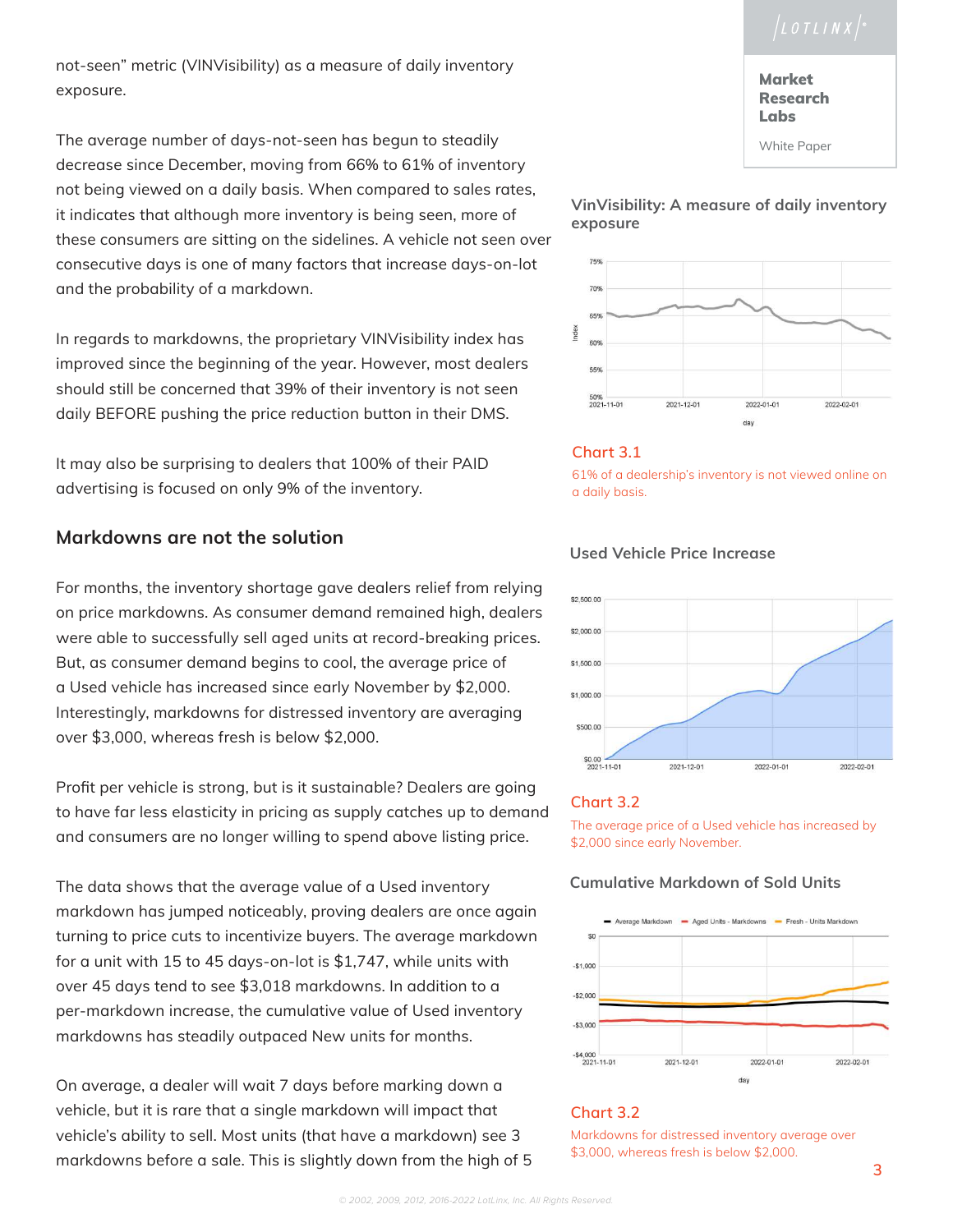not-seen" metric (VINVisibility) as a measure of daily inventory exposure.

The average number of days-not-seen has begun to steadily decrease since December, moving from 66% to 61% of inventory not being viewed on a daily basis. When compared to sales rates, it indicates that although more inventory is being seen, more of these consumers are sitting on the sidelines. A vehicle not seen over consecutive days is one of many factors that increase days-on-lot and the probability of a markdown.

In regards to markdowns, the proprietary VINVisibility index has improved since the beginning of the year. However, most dealers should still be concerned that 39% of their inventory is not seen daily BEFORE pushing the price reduction button in their DMS.

It may also be surprising to dealers that 100% of their PAID advertising is focused on only 9% of the inventory.

# **Markdowns are not the solution**

For months, the inventory shortage gave dealers relief from relying on price markdowns. As consumer demand remained high, dealers were able to successfully sell aged units at record-breaking prices. But, as consumer demand begins to cool, the average price of a Used vehicle has increased since early November by \$2,000. Interestingly, markdowns for distressed inventory are averaging over \$3,000, whereas fresh is below \$2,000.

Profit per vehicle is strong, but is it sustainable? Dealers are going to have far less elasticity in pricing as supply catches up to demand and consumers are no longer willing to spend above listing price.

The data shows that the average value of a Used inventory markdown has jumped noticeably, proving dealers are once again turning to price cuts to incentivize buyers. The average markdown for a unit with 15 to 45 days-on-lot is \$1,747, while units with over 45 days tend to see \$3,018 markdowns. In addition to a per-markdown increase, the cumulative value of Used inventory markdowns has steadily outpaced New units for months.

On average, a dealer will wait 7 days before marking down a vehicle, but it is rare that a single markdown will impact that vehicle's ability to sell. Most units (that have a markdown) see 3 markdowns before a sale. This is slightly down from the high of 5<sup>3,000</sup>, whereas fresh is below \$2,000.

# **Market** Research Labs

White Paper





# **Chart 3.1**

61% of a dealership's inventory is not viewed online on a daily basis.

# **Used Vehicle Price Increase**



# **Chart 3.2**

The average price of a Used vehicle has increased by \$2,000 since early November.

# **Cumulative Markdown of Sold Units**



# **Chart 3.2**

Markdowns for distressed inventory average over \$3,000, whereas fresh is below \$2,000.